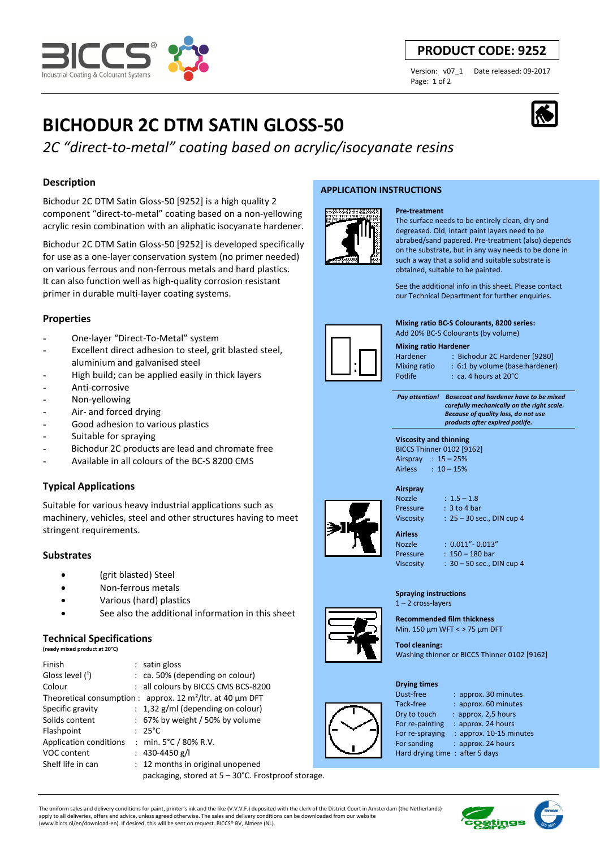

# **PRODUCT CODE: 9252**

Page: 1 of 2

Version: v07\_1 Date released: 09-2017

# **BICHODUR 2C DTM SATIN GLOSS-50**

*2C "direct-to-metal" coating based on acrylic/isocyanate resins*

# **Description**

Bichodur 2C DTM Satin Gloss-50 [9252] is a high quality 2 component "direct-to-metal" coating based on a non-yellowing acrylic resin combination with an aliphatic isocyanate hardener.

Bichodur 2C DTM Satin Gloss-50 [9252] is developed specifically for use as a one-layer conservation system (no primer needed) on various ferrous and non-ferrous metals and hard plastics. It can also function well as high-quality corrosion resistant primer in durable multi-layer coating systems.

# **Properties**

- One-layer "Direct-To-Metal" system
- Excellent direct adhesion to steel, grit blasted steel, aluminium and galvanised steel
- High build; can be applied easily in thick layers
- Anti-corrosive
- Non-yellowing
- Air- and forced drying
- Good adhesion to various plastics
- Suitable for spraying
- Bichodur 2C products are lead and chromate free
- Available in all colours of the BC-S 8200 CMS

# **Typical Applications**

Suitable for various heavy industrial applications such as machinery, vehicles, steel and other structures having to meet stringent requirements.

# **Substrates**

- (grit blasted) Steel
- Non-ferrous metals
- Various (hard) plastics
- See also the additional information in this sheet

# **Technical Specifications**

|  |  | (ready mixed product at 20°C) |  |  |  |
|--|--|-------------------------------|--|--|--|
|--|--|-------------------------------|--|--|--|

| Finish                        | : satin gloss                                                               |  |
|-------------------------------|-----------------------------------------------------------------------------|--|
| Gloss level (1)               | : ca. 50% (depending on colour)                                             |  |
| Colour                        | : all colours by BICCS CMS BCS-8200                                         |  |
|                               | Theoretical consumption : approx. 12 m <sup>2</sup> /ltr. at 40 $\mu$ m DFT |  |
| Specific gravity              | $: 1,32$ g/ml (depending on colour)                                         |  |
| Solids content                | $: 67\%$ by weight / 50% by volume                                          |  |
| Flashpoint                    | $: 25^{\circ}$ C                                                            |  |
| <b>Application conditions</b> | : min. $5^{\circ}$ C / 80% R.V.                                             |  |
| VOC content                   | : $430 - 4450$ g/l                                                          |  |
| Shelf life in can             | : 12 months in original unopened                                            |  |
|                               | packaging, stored at 5 – 30°C. Frostproof storage.                          |  |

### **APPLICATION INSTRUCTIONS**





See the additional info in this sheet. Please contact our Technical Department for further enquiries.

**Mixing ratio BC-S Colourants, 8200 series:**  Add 20% BC-S Colourants (by volume)

#### **Mixing ratio Hardener**

Hardener : Bichodur 2C Hardener [9280] Mixing ratio : 6:1 by volume (base:hardener)

Potlife : ca. 4 hours at 20°C

 *Pay attention! Basecoat and hardener have to be mixed carefully mechanically on the right scale. Because of quality loss, do not use products after expired potlife.*



# **Airspray**

Nozzle : 1.5 – 1.8 Pressure : 3 to 4 bar Viscosity : 25 – 30 sec., DIN cup 4

**Airless** 

Nozzle : 0.011"- 0.013" Pressure : 150 – 180 bar Viscosity : 30 – 50 sec., DIN cup 4

#### **Spraying instructions**  1 – 2 cross-layers

**Recommended film thickness** 

Min. 150 µm WFT < > 75 µm DFT **Tool cleaning:** 

Washing thinner or BICCS Thinner 0102 [9162]

#### **Drying times**



Dust-free : approx. 30 minutes Tack-free : approx. 60 minutes Dry to touch : approx. 2,5 hours For re-painting : approx. 24 hours<br>For re-spraying : approx. 10-15 mi : approx. 10-15 minutes For sanding : approx. 24 hours Hard drying time : after 5 days



The uniform sales and delivery conditions for paint, printer's ink and the like (V.V.V.F.) deposited with the clerk of the District Court in Amsterdam (the Netherlands) apply to all deliveries, offers and advice, unless agreed otherwise. The sales and delivery conditions can be downloaded from our website (www.biccs.nl/en/download-en). If desired, this will be sent on request. BICCS® BV, Almere (NL).